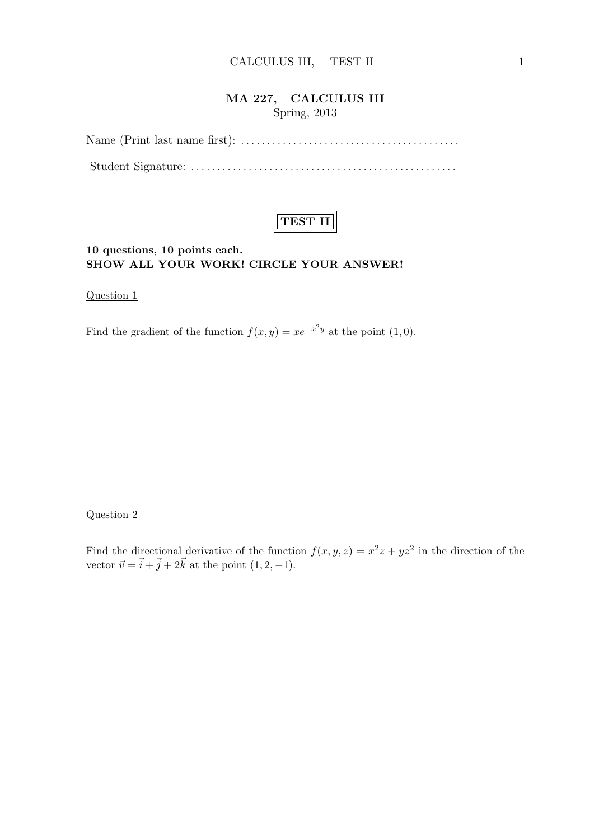# MA 227, CALCULUS III Spring, 2013

Name (Print last name first): . . . . . . . . . . . . . . . . . . . . . . . . . . . . . . . . . . . . . . . . . . Student Signature: . . . . . . . . . . . . . . . . . . . . . . . . . . . . . . . . . . . . . . . . . . . . . . . . . . .



### 10 questions, 10 points each. SHOW ALL YOUR WORK! CIRCLE YOUR ANSWER!

Question 1

Find the gradient of the function  $f(x, y) = xe^{-x^2y}$  at the point  $(1, 0)$ .

#### Question 2

Find the directional derivative of the function  $f(x, y, z) = x^2z + yz^2$  in the direction of the vector  $\vec{v} = \vec{i} + \vec{j} + 2\vec{k}$  at the point  $(1, 2, -1)$ .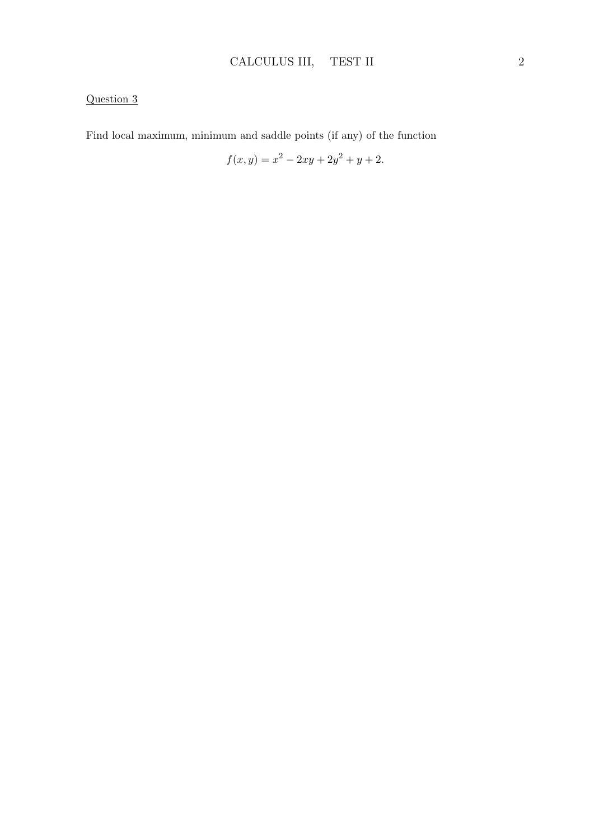Find local maximum, minimum and saddle points (if any) of the function

$$
f(x,y) = x^2 - 2xy + 2y^2 + y + 2.
$$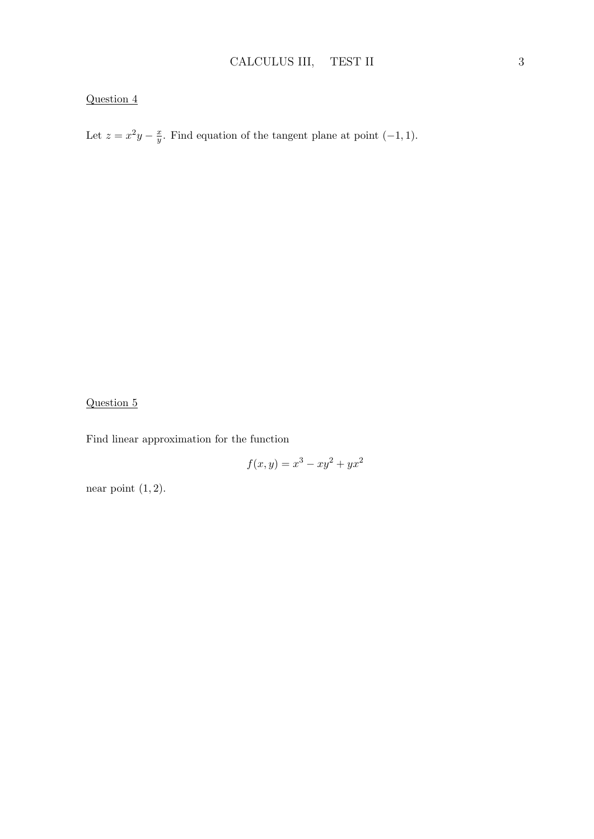Let  $z = x^2y - \frac{x}{y}$  $\frac{x}{y}$ . Find equation of the tangent plane at point  $(-1, 1)$ .

### Question 5

Find linear approximation for the function

$$
f(x, y) = x^3 - xy^2 + yx^2
$$

near point  $(1, 2)$ .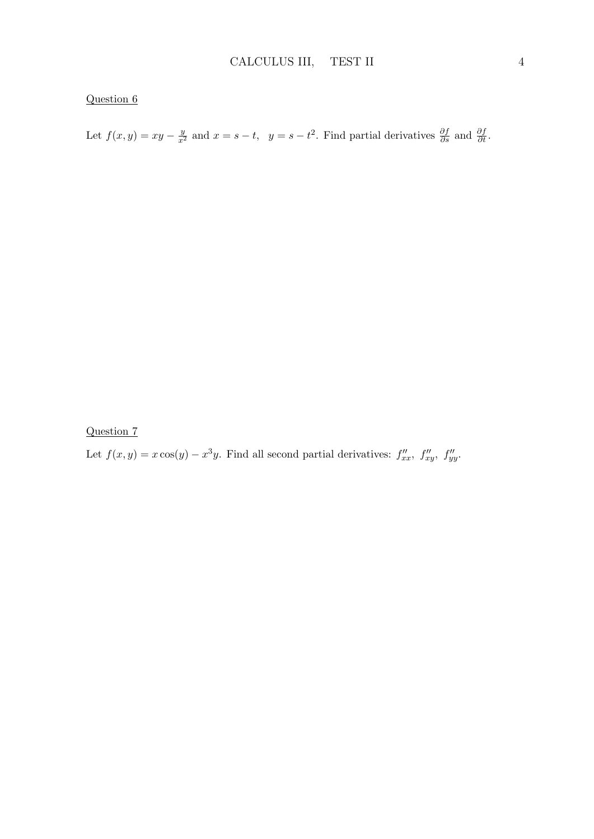Let  $f(x, y) = xy - \frac{y}{x^2}$  and  $x = s - t$ ,  $y = s - t^2$ . Find partial derivatives  $\frac{\partial f}{\partial s}$  and  $\frac{\partial f}{\partial t}$ .

Question 7

Let  $f(x, y) = x \cos(y) - x^3y$ . Find all second partial derivatives:  $f''_{xx}$ ,  $f''_{xy}$ ,  $f''_{yy}$ .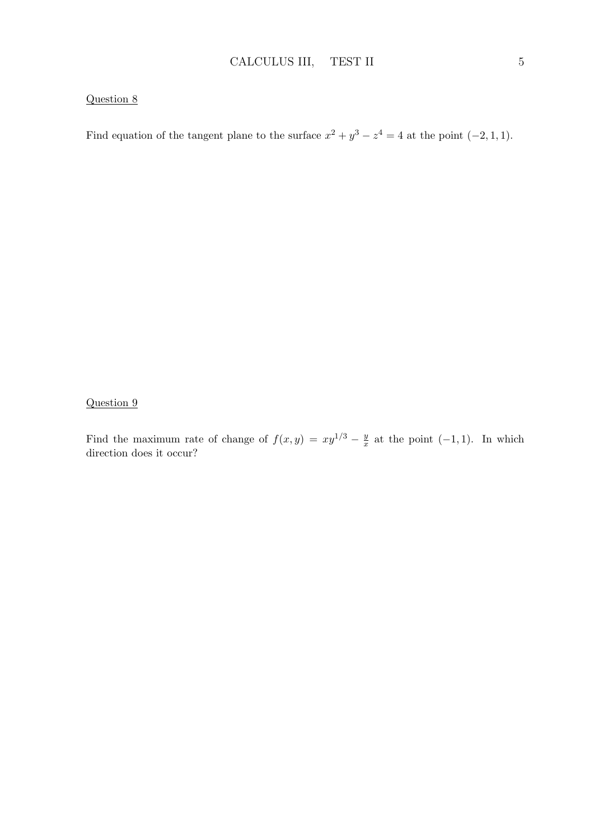Find equation of the tangent plane to the surface  $x^2 + y^3 - z^4 = 4$  at the point  $(-2, 1, 1)$ .

Question 9

Find the maximum rate of change of  $f(x, y) = xy^{1/3} - \frac{y}{x}$  $\frac{y}{x}$  at the point  $(-1, 1)$ . In which direction does it occur?